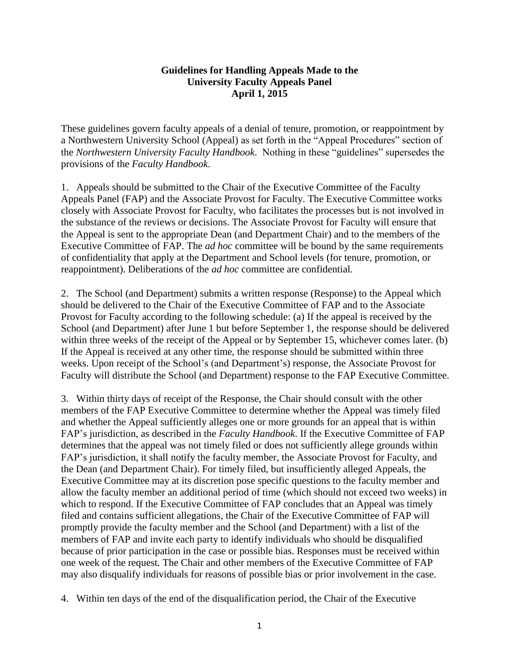## **Guidelines for Handling Appeals Made to the University Faculty Appeals Panel April 1, 2015**

These guidelines govern faculty appeals of a denial of tenure, promotion, or reappointment by a Northwestern University School (Appeal) as set forth in the "Appeal Procedures" section of the *Northwestern University Faculty Handbook*. Nothing in these "guidelines" supersedes the provisions of the *Faculty Handbook*.

1. Appeals should be submitted to the Chair of the Executive Committee of the Faculty Appeals Panel (FAP) and the Associate Provost for Faculty. The Executive Committee works closely with Associate Provost for Faculty, who facilitates the processes but is not involved in the substance of the reviews or decisions. The Associate Provost for Faculty will ensure that the Appeal is sent to the appropriate Dean (and Department Chair) and to the members of the Executive Committee of FAP. The *ad hoc* committee will be bound by the same requirements of confidentiality that apply at the Department and School levels (for tenure, promotion, or reappointment). Deliberations of the *ad hoc* committee are confidential.

2. The School (and Department) submits a written response (Response) to the Appeal which should be delivered to the Chair of the Executive Committee of FAP and to the Associate Provost for Faculty according to the following schedule: (a) If the appeal is received by the School (and Department) after June 1 but before September 1, the response should be delivered within three weeks of the receipt of the Appeal or by September 15, whichever comes later. (b) If the Appeal is received at any other time, the response should be submitted within three weeks. Upon receipt of the School's (and Department's) response, the Associate Provost for Faculty will distribute the School (and Department) response to the FAP Executive Committee.

3. Within thirty days of receipt of the Response, the Chair should consult with the other members of the FAP Executive Committee to determine whether the Appeal was timely filed and whether the Appeal sufficiently alleges one or more grounds for an appeal that is within FAP's jurisdiction, as described in the *Faculty Handbook*. If the Executive Committee of FAP determines that the appeal was not timely filed or does not sufficiently allege grounds within FAP's jurisdiction, it shall notify the faculty member, the Associate Provost for Faculty, and the Dean (and Department Chair). For timely filed, but insufficiently alleged Appeals, the Executive Committee may at its discretion pose specific questions to the faculty member and allow the faculty member an additional period of time (which should not exceed two weeks) in which to respond. If the Executive Committee of FAP concludes that an Appeal was timely filed and contains sufficient allegations, the Chair of the Executive Committee of FAP will promptly provide the faculty member and the School (and Department) with a list of the members of FAP and invite each party to identify individuals who should be disqualified because of prior participation in the case or possible bias. Responses must be received within one week of the request. The Chair and other members of the Executive Committee of FAP may also disqualify individuals for reasons of possible bias or prior involvement in the case.

4. Within ten days of the end of the disqualification period, the Chair of the Executive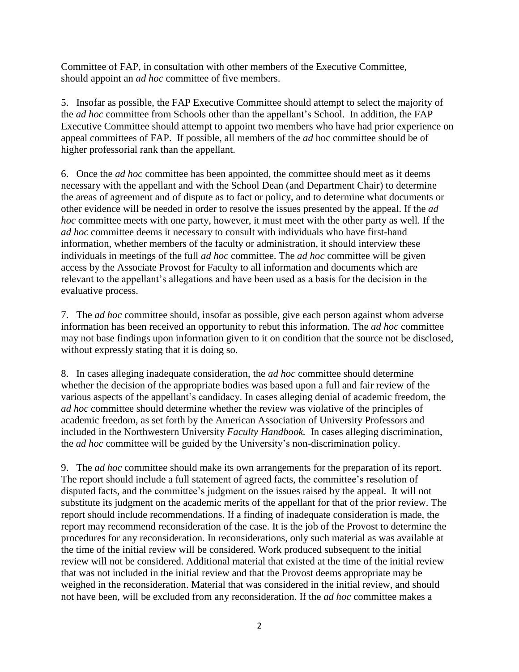Committee of FAP, in consultation with other members of the Executive Committee, should appoint an *ad hoc* committee of five members.

5. Insofar as possible, the FAP Executive Committee should attempt to select the majority of the *ad hoc* committee from Schools other than the appellant's School. In addition, the FAP Executive Committee should attempt to appoint two members who have had prior experience on appeal committees of FAP. If possible, all members of the *ad* hoc committee should be of higher professorial rank than the appellant.

6. Once the *ad hoc* committee has been appointed, the committee should meet as it deems necessary with the appellant and with the School Dean (and Department Chair) to determine the areas of agreement and of dispute as to fact or policy, and to determine what documents or other evidence will be needed in order to resolve the issues presented by the appeal. If the *ad hoc* committee meets with one party, however, it must meet with the other party as well. If the *ad hoc* committee deems it necessary to consult with individuals who have first-hand information, whether members of the faculty or administration, it should interview these individuals in meetings of the full *ad hoc* committee. The *ad hoc* committee will be given access by the Associate Provost for Faculty to all information and documents which are relevant to the appellant's allegations and have been used as a basis for the decision in the evaluative process.

7. The *ad hoc* committee should, insofar as possible, give each person against whom adverse information has been received an opportunity to rebut this information. The *ad hoc* committee may not base findings upon information given to it on condition that the source not be disclosed, without expressly stating that it is doing so.

8. In cases alleging inadequate consideration, the *ad hoc* committee should determine whether the decision of the appropriate bodies was based upon a full and fair review of the various aspects of the appellant's candidacy. In cases alleging denial of academic freedom, the *ad hoc* committee should determine whether the review was violative of the principles of academic freedom, as set forth by the American Association of University Professors and included in the Northwestern University *Faculty Handbook.* In cases alleging discrimination, the *ad hoc* committee will be guided by the University's non-discrimination policy.

9. The *ad hoc* committee should make its own arrangements for the preparation of its report. The report should include a full statement of agreed facts, the committee's resolution of disputed facts, and the committee's judgment on the issues raised by the appeal. It will not substitute its judgment on the academic merits of the appellant for that of the prior review. The report should include recommendations. If a finding of inadequate consideration is made, the report may recommend reconsideration of the case. It is the job of the Provost to determine the procedures for any reconsideration. In reconsiderations, only such material as was available at the time of the initial review will be considered. Work produced subsequent to the initial review will not be considered. Additional material that existed at the time of the initial review that was not included in the initial review and that the Provost deems appropriate may be weighed in the reconsideration. Material that was considered in the initial review, and should not have been, will be excluded from any reconsideration. If the *ad hoc* committee makes a